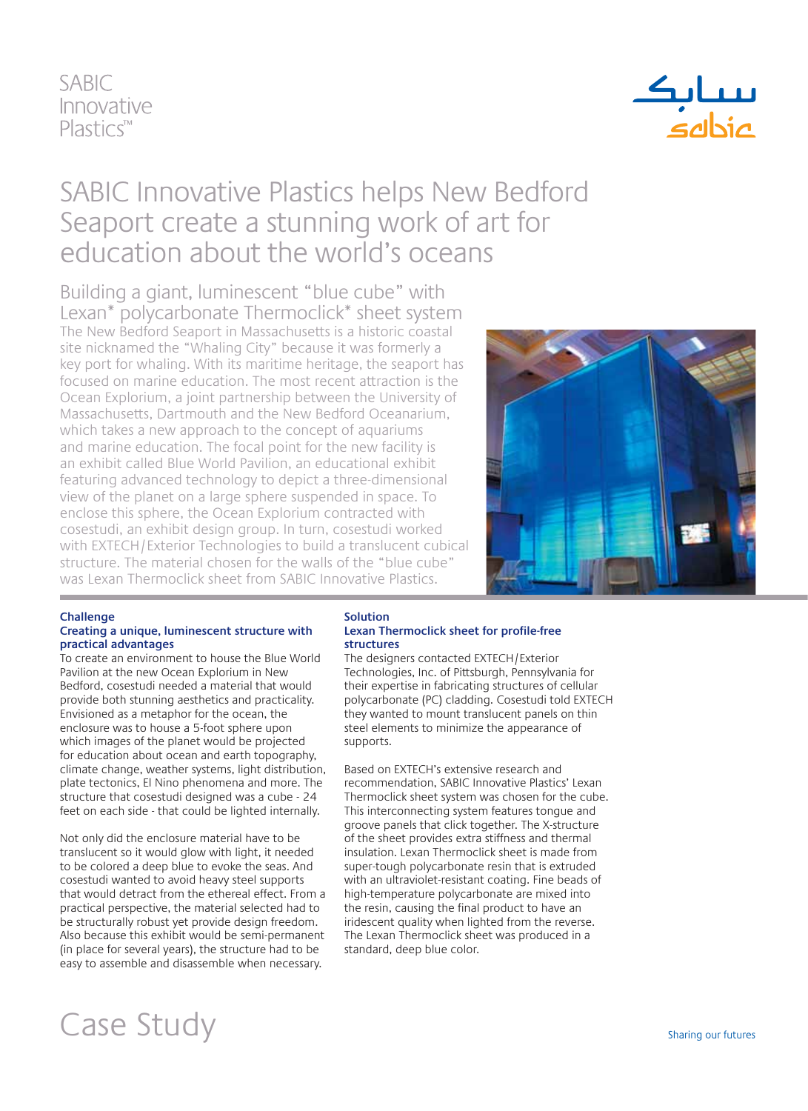### **SABIC** Innovative  $PlasticS^m$



### SABIC Innovative Plastics helps New Bedford Seaport create a stunning work of art for education about the world's oceans

Building a giant, luminescent "blue cube" with Lexan\* polycarbonate Thermoclick\* sheet system The New Bedford Seaport in Massachusetts is a historic coastal site nicknamed the "Whaling City" because it was formerly a key port for whaling. With its maritime heritage, the seaport has focused on marine education. The most recent attraction is the Ocean Explorium, a joint partnership between the University of Massachusetts, Dartmouth and the New Bedford Oceanarium, which takes a new approach to the concept of aquariums and marine education. The focal point for the new facility is an exhibit called Blue World Pavilion, an educational exhibit featuring advanced technology to depict a three-dimensional view of the planet on a large sphere suspended in space. To enclose this sphere, the Ocean Explorium contracted with cosestudi, an exhibit design group. In turn, cosestudi worked with EXTECH/Exterior Technologies to build a translucent cubical structure. The material chosen for the walls of the "blue cube" was Lexan Thermoclick sheet from SABIC Innovative Plastics.



#### **Challenge**

#### **Creating a unique, luminescent structure with practical advantages**

To create an environment to house the Blue World Pavilion at the new Ocean Explorium in New Bedford, cosestudi needed a material that would provide both stunning aesthetics and practicality. Envisioned as a metaphor for the ocean, the enclosure was to house a 5-foot sphere upon which images of the planet would be projected for education about ocean and earth topography, climate change, weather systems, light distribution, plate tectonics, El Nino phenomena and more. The structure that cosestudi designed was a cube - 24 feet on each side - that could be lighted internally.

Not only did the enclosure material have to be translucent so it would glow with light, it needed to be colored a deep blue to evoke the seas. And cosestudi wanted to avoid heavy steel supports that would detract from the ethereal effect. From a practical perspective, the material selected had to be structurally robust yet provide design freedom. Also because this exhibit would be semi-permanent (in place for several years), the structure had to be easy to assemble and disassemble when necessary.

#### **Solution Lexan Thermoclick sheet for profile-free structures**

The designers contacted EXTECH/Exterior Technologies, Inc. of Pittsburgh, Pennsylvania for their expertise in fabricating structures of cellular polycarbonate (PC) cladding. Cosestudi told EXTECH they wanted to mount translucent panels on thin steel elements to minimize the appearance of supports.

Based on EXTECH's extensive research and recommendation, SABIC Innovative Plastics' Lexan Thermoclick sheet system was chosen for the cube. This interconnecting system features tongue and groove panels that click together. The X-structure of the sheet provides extra stiffness and thermal insulation. Lexan Thermoclick sheet is made from super-tough polycarbonate resin that is extruded with an ultraviolet-resistant coating. Fine beads of high-temperature polycarbonate are mixed into the resin, causing the final product to have an iridescent quality when lighted from the reverse. The Lexan Thermoclick sheet was produced in a standard, deep blue color.

## Case Study